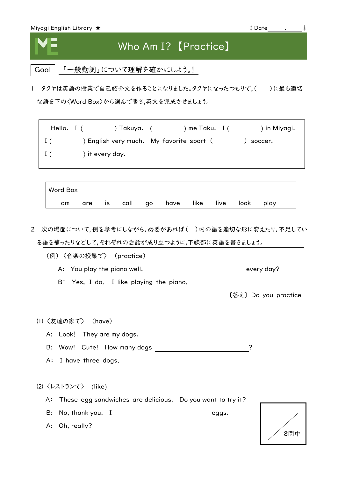



## Who Am I? 【Practice】

Goal | 「一般動詞」について理解を確かにしよう。!

| タクヤは英語の授業で自己紹介文を作ることになりました。タクヤになったつもりで,()に最も適切 な語を下の〈Word Box〉から選んで書き,英文を完成させましょう。

Hello. I ( ) Takuya. ( ) me Taku. I ( ) in Miyagi. I ( ) English very much. My favorite sport ( ) soccer. I ( ) it every day.

| <b>Word Box</b> |  |  |                                         |  |  |  |
|-----------------|--|--|-----------------------------------------|--|--|--|
| am              |  |  | are is call go have like live look play |  |  |  |

2 次の場面について,例を参考にしながら,必要があれば( )内の語を適切な形に変えたり,不足してい る語を補ったりなどして,それぞれの会話が成り立つように,下線部に英語を書きましょう。

| (例)〈音楽の授業で〉 (practice)                  |                      |
|-----------------------------------------|----------------------|
| A: You play the piano well.             | every day?           |
| B: Yes, I do. I like playing the piano. |                      |
|                                         | [答え] Do you practice |

⑴ 〈友達の家で〉 (have)

A: Look! They are my dogs.

B: Wow! Cute! How many dogs  $\overline{\hspace{1.5cm}}$  ?

A: I have three dogs.

⑵ 〈レストランで〉 (like)

A: These egg sandwiches are delicious. Do you want to try it?

B: No, thank you. I eggs.

A: Oh, really?